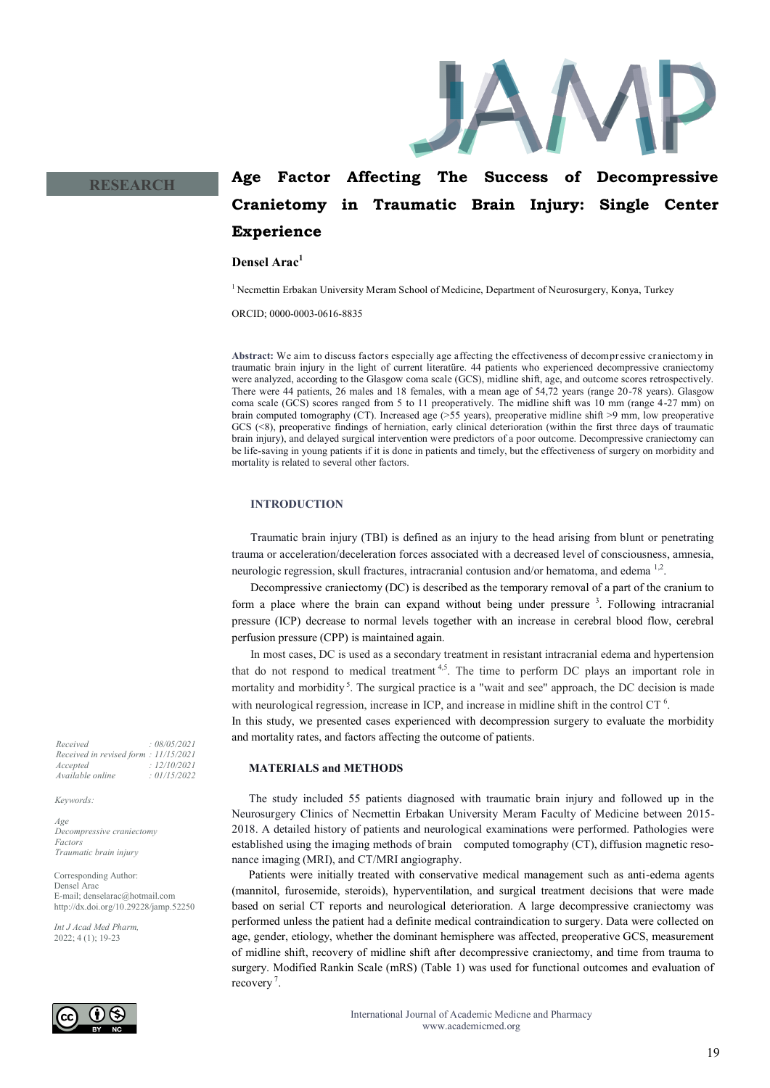

## **Age Factor Affecting The Success of Decompressive Cranietomy in Traumatic Brain Injury: Single Center Experience**

## **Densel Arac<sup>1</sup>**

<sup>1</sup> Necmettin Erbakan University Meram School of Medicine, Department of Neurosurgery, Konya, Turkey

ORCID; 0000-0003-0616-8835

**Abstract:** We aim to discuss factors especially age affecting the effectiveness of decompressive craniectomy in traumatic brain injury in the light of current literatüre. 44 patients who experienced decompressive craniectomy were analyzed, according to the Glasgow coma scale (GCS), midline shift, age, and outcome scores retrospectively. There were 44 patients, 26 males and 18 females, with a mean age of 54,72 years (range 20-78 years). Glasgow coma scale (GCS) scores ranged from 5 to 11 preoperatively. The midline shift was 10 mm (range 4-27 mm) on brain computed tomography (CT). Increased age (>55 years), preoperative midline shift >9 mm, low preoperative GCS (<8), preoperative findings of herniation, early clinical deterioration (within the first three days of traumatic brain injury), and delayed surgical intervention were predictors of a poor outcome. Decompressive craniectomy can be life-saving in young patients if it is done in patients and timely, but the effectiveness of surgery on morbidity and mortality is related to several other factors.

## **INTRODUCTION**

Traumatic brain injury (TBI) is defined as an injury to the head arising from blunt or penetrating trauma or acceleration/deceleration forces associated with a decreased level of consciousness, amnesia, neurologic regression, skull fractures, intracranial contusion and/or hematoma, and edema<sup>1,2</sup>.

Decompressive craniectomy (DC) is described as the temporary removal of a part of the cranium to form a place where the brain can expand without being under pressure <sup>3</sup>. Following intracranial pressure (ICP) decrease to normal levels together with an increase in cerebral blood flow, cerebral perfusion pressure (CPP) is maintained again.

In most cases, DC is used as a secondary treatment in resistant intracranial edema and hypertension that do not respond to medical treatment  $4.5$ . The time to perform DC plays an important role in mortality and morbidity<sup>5</sup>. The surgical practice is a "wait and see" approach, the DC decision is made with neurological regression, increase in ICP, and increase in midline shift in the control CT $<sup>6</sup>$ .</sup>

In this study, we presented cases experienced with decompression surgery to evaluate the morbidity and mortality rates, and factors affecting the outcome of patients.

## **MATERIALS and METHODS**

The study included 55 patients diagnosed with traumatic brain injury and followed up in the Neurosurgery Clinics of Necmettin Erbakan University Meram Faculty of Medicine between 2015- 2018. A detailed history of patients and neurological examinations were performed. Pathologies were established using the imaging methods of brain computed tomography (CT), diffusion magnetic resonance imaging (MRI), and CT/MRI angiography.

Patients were initially treated with conservative medical management such as anti-edema agents (mannitol, furosemide, steroids), hyperventilation, and surgical treatment decisions that were made based on serial CT reports and neurological deterioration. A large decompressive craniectomy was performed unless the patient had a definite medical contraindication to surgery. Data were collected on age, gender, etiology, whether the dominant hemisphere was affected, preoperative GCS, measurement of midline shift, recovery of midline shift after decompressive craniectomy, and time from trauma to surgery. Modified Rankin Scale (mRS) (Table 1) was used for functional outcomes and evaluation of recovery<sup>7</sup>.

> International Journal of Academic Medicne and Pharmacy www.academicmed.org

*Received : 08/05/2021 Received in revised form : 11/15/2021 Accepted : 12/10/2021 Available online : 01/15/2022*

**RESEARCH**

*Keywords:*

*Age Decompressive craniectomy Factors Traumatic brain injury*

Corresponding Author: Densel Arac E-mail; denselarac@hotmail.com http://dx.doi.org/10.29228/jamp.52250

*Int J Acad Med Pharm,* 2022; 4 (1); 19-23

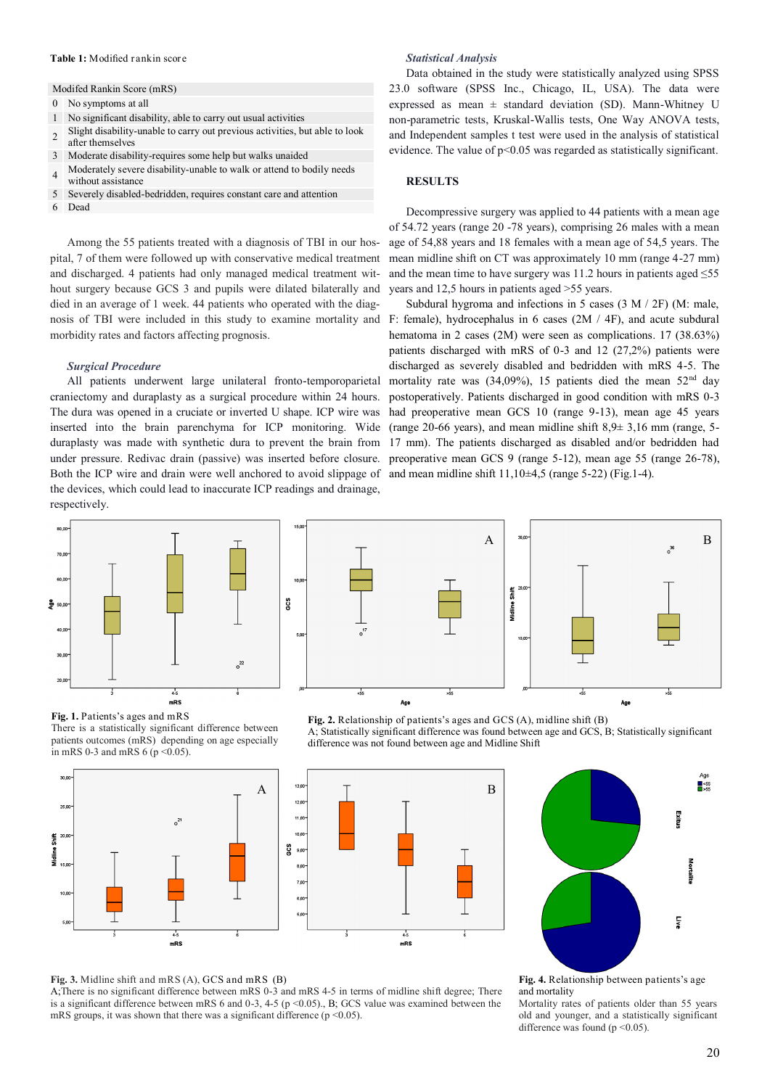## **Table 1:** Modified rankin score

## Modifed Rankin Score (mRS)

- 0 No symptoms at all
- 1 No significant disability, able to carry out usual activities
- 2 Slight disability-unable to carry out previous activities, but able to look after themselves
- 3 Moderate disability-requires some help but walks unaided
- Moderately severe disability-unable to walk or attend to bodily needs
- 4 without assistance
- 5 Severely disabled-bedridden, requires constant care and attention
- 6 Dead

Among the 55 patients treated with a diagnosis of TBI in our hospital, 7 of them were followed up with conservative medical treatment and discharged. 4 patients had only managed medical treatment without surgery because GCS 3 and pupils were dilated bilaterally and died in an average of 1 week. 44 patients who operated with the diagnosis of TBI were included in this study to examine mortality and morbidity rates and factors affecting prognosis.

## *Surgical Procedure*

All patients underwent large unilateral fronto-temporoparietal craniectomy and duraplasty as a surgical procedure within 24 hours. The dura was opened in a cruciate or inverted U shape. ICP wire was inserted into the brain parenchyma for ICP monitoring. Wide duraplasty was made with synthetic dura to prevent the brain from under pressure. Redivac drain (passive) was inserted before closure. Both the ICP wire and drain were well anchored to avoid slippage of the devices, which could lead to inaccurate ICP readings and drainage, respectively.



## Shift SOG

# $A \begin{bmatrix} \begin{array}{c} \begin{array}{c} \text{30,00} \\ \text{000} \end{array} \end{array} \end{bmatrix}$ Age

**Fig. 1.** Patients's ages and mRS There is a statistically significant difference between patients outcomes (mRS) depending on age especially in mRS 0-3 and mRS 6 ( $p \le 0.05$ ).







**Fig. 3.** Midline shift and mRS (A), GCS and mRS (B)

A;There is no significant difference between mRS 0-3 and mRS 4-5 in terms of midline shift degree; There is a significant difference between mRS 6 and 0-3, 4-5 (p <0.05)., B; GCS value was examined between the mRS groups, it was shown that there was a significant difference ( $p \le 0.05$ ).

and mortality Mortality rates of patients older than 55 years old and younger, and a statistically significant difference was found ( $p \le 0.05$ ).

## **Fig. 2.** Relationship of patients's ages and GCS (A), midline shift (B)

A; Statistically significant difference was found between age and GCS, B; Statistically significant difference was not found between age and Midline Shift

17 mm). The patients discharged as disabled and/or bedridden had preoperative mean GCS 9 (range 5-12), mean age 55 (range 26-78), and mean midline shift  $11,10\pm4,5$  (range 5-22) (Fig.1-4).

Decompressive surgery was applied to 44 patients with a mean age of 54.72 years (range 20 -78 years), comprising 26 males with a mean age of 54,88 years and 18 females with a mean age of 54,5 years. The mean midline shift on CT was approximately 10 mm (range 4-27 mm) and the mean time to have surgery was 11.2 hours in patients aged  $\leq 55$ 

years and 12,5 hours in patients aged >55 years. Subdural hygroma and infections in 5 cases (3 M / 2F) (M: male, F: female), hydrocephalus in 6 cases (2M / 4F), and acute subdural hematoma in 2 cases (2M) were seen as complications. 17 (38.63%)

patients discharged with mRS of 0-3 and 12 (27,2%) patients were discharged as severely disabled and bedridden with mRS 4-5. The mortality rate was  $(34,09\%)$ , 15 patients died the mean  $52<sup>nd</sup>$  day postoperatively. Patients discharged in good condition with mRS 0-3 had preoperative mean GCS 10 (range 9-13), mean age 45 years (range 20-66 years), and mean midline shift  $8.9 \pm 3.16$  mm (range, 5-

evidence. The value of p<0.05 was regarded as statistically significant. **RESULTS**

non-parametric tests, Kruskal-Wallis tests, One Way ANOVA tests, and Independent samples t test were used in the analysis of statistical

Data obtained in the study were statistically analyzed using SPSS 23.0 software (SPSS Inc., Chicago, IL, USA). The data were expressed as mean  $\pm$  standard deviation (SD). Mann-Whitney U

*Statistical Analysis*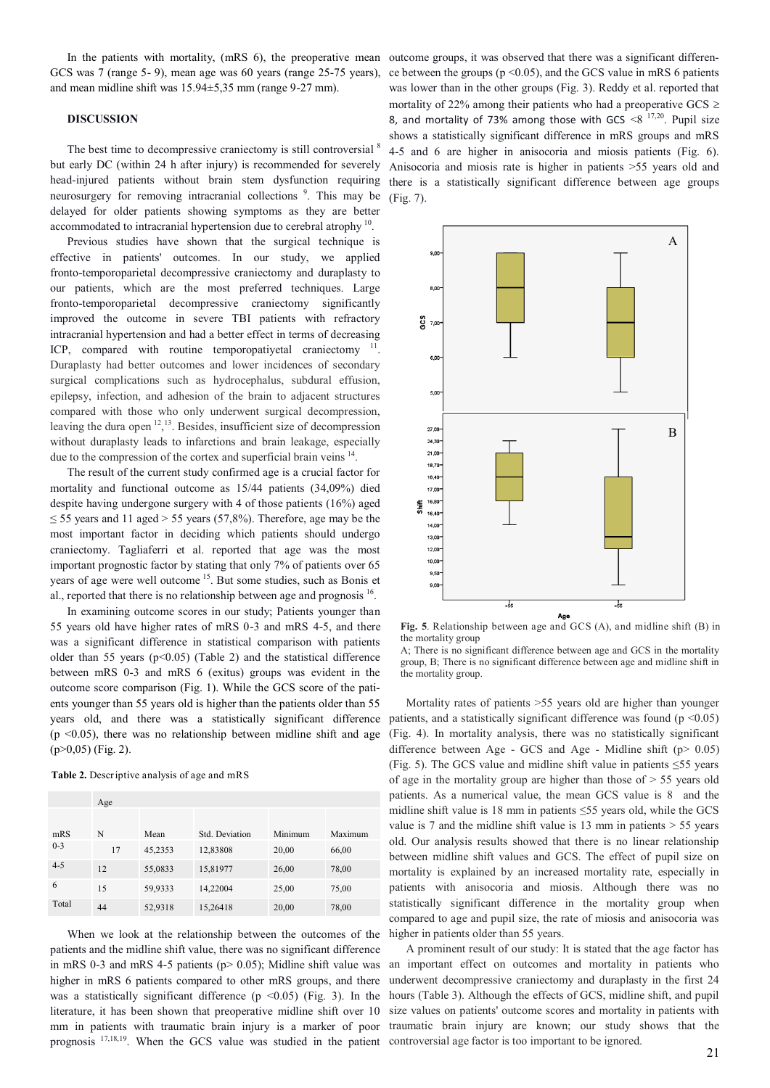In the patients with mortality, (mRS 6), the preoperative mean outcome groups, it was observed that there was a significant differen-GCS was 7 (range 5- 9), mean age was 60 years (range 25-75 years), and mean midline shift was 15.94±5,35 mm (range 9-27 mm).

## **DISCUSSION**

The best time to decompressive craniectomy is still controversial  $8$ but early DC (within 24 h after injury) is recommended for severely head-injured patients without brain stem dysfunction requiring neurosurgery for removing intracranial collections<sup>9</sup>. This may be delayed for older patients showing symptoms as they are better accommodated to intracranial hypertension due to cerebral atrophy <sup>10</sup>.

Previous studies have shown that the surgical technique is effective in patients' outcomes. In our study, we applied fronto-temporoparietal decompressive craniectomy and duraplasty to our patients, which are the most preferred techniques. Large fronto-temporoparietal decompressive craniectomy significantly improved the outcome in severe TBI patients with refractory intracranial hypertension and had a better effect in terms of decreasing ICP, compared with routine temporopatiyetal craniectomy <sup>11</sup>. Duraplasty had better outcomes and lower incidences of secondary surgical complications such as hydrocephalus, subdural effusion, epilepsy, infection, and adhesion of the brain to adjacent structures compared with those who only underwent surgical decompression, leaving the dura open  $12,13$ . Besides, insufficient size of decompression without duraplasty leads to infarctions and brain leakage, especially due to the compression of the cortex and superficial brain veins <sup>14</sup>.

The result of the current study confirmed age is a crucial factor for mortality and functional outcome as 15/44 patients (34,09%) died despite having undergone surgery with 4 of those patients (16%) aged  $\le$  55 years and 11 aged  $>$  55 years (57.8%). Therefore, age may be the most important factor in deciding which patients should undergo craniectomy. Tagliaferri et al. reported that age was the most important prognostic factor by stating that only 7% of patients over 65 years of age were well outcome <sup>15</sup>. But some studies, such as Bonis et al., reported that there is no relationship between age and prognosis  $16$ .

In examining outcome scores in our study; Patients younger than 55 years old have higher rates of mRS 0-3 and mRS 4-5, and there was a significant difference in statistical comparison with patients older than 55 years ( $p<0.05$ ) (Table 2) and the statistical difference between mRS 0-3 and mRS 6 (exitus) groups was evident in the outcome score comparison (Fig. 1). While the GCS score of the patients younger than 55 years old is higher than the patients older than 55 years old, and there was a statistically significant difference  $(p \le 0.05)$ , there was no relationship between midline shift and age  $(p>0,05)$  (Fig. 2).

|         | Age |         |                |         |         |
|---------|-----|---------|----------------|---------|---------|
|         |     |         |                |         |         |
| mRS     | N   | Mean    | Std. Deviation | Minimum | Maximum |
| $0 - 3$ | 17  | 45,2353 | 12,83808       | 20,00   | 66,00   |
| $4 - 5$ | 12  | 55,0833 | 15,81977       | 26,00   | 78,00   |
| 6       | 15  | 59,9333 | 14,22004       | 25,00   | 75,00   |
| Total   | 44  | 52,9318 | 15,26418       | 20,00   | 78,00   |

When we look at the relationship between the outcomes of the patients and the midline shift value, there was no significant difference in mRS 0-3 and mRS 4-5 patients ( $p$  > 0.05); Midline shift value was higher in mRS 6 patients compared to other mRS groups, and there was a statistically significant difference ( $p \le 0.05$ ) (Fig. 3). In the literature, it has been shown that preoperative midline shift over 10 mm in patients with traumatic brain injury is a marker of poor prognosis  $^{17,18,19}$ . When the GCS value was studied in the patient controversial age factor is too important to be ignored.

ce between the groups ( $p \le 0.05$ ), and the GCS value in mRS 6 patients was lower than in the other groups (Fig. 3). Reddy et al. reported that mortality of 22% among their patients who had a preoperative GCS  $\geq$ 8, and mortality of 73% among those with GCS  $\leq 8^{17,20}$ . Pupil size shows a statistically significant difference in mRS groups and mRS 4-5 and 6 are higher in anisocoria and miosis patients (Fig. 6). Anisocoria and miosis rate is higher in patients >55 years old and there is a statistically significant difference between age groups (Fig. 7).



**Fig. 5**. Relationship between age and GCS (A), and midline shift (B) in the mortality group

A; There is no significant difference between age and GCS in the mortality group, B; There is no significant difference between age and midline shift in the mortality group.

Mortality rates of patients >55 years old are higher than younger patients, and a statistically significant difference was found ( $p \le 0.05$ ) (Fig. 4). In mortality analysis, there was no statistically significant difference between Age - GCS and Age - Midline shift ( $p$  > 0.05) (Fig. 5). The GCS value and midline shift value in patients ≤55 years of age in the mortality group are higher than those of  $> 55$  years old patients. As a numerical value, the mean GCS value is 8 and the midline shift value is 18 mm in patients ≤55 years old, while the GCS value is 7 and the midline shift value is 13 mm in patients  $> 55$  years old. Our analysis results showed that there is no linear relationship between midline shift values and GCS. The effect of pupil size on mortality is explained by an increased mortality rate, especially in patients with anisocoria and miosis. Although there was no statistically significant difference in the mortality group when compared to age and pupil size, the rate of miosis and anisocoria was higher in patients older than 55 years.

A prominent result of our study: It is stated that the age factor has an important effect on outcomes and mortality in patients who underwent decompressive craniectomy and duraplasty in the first 24 hours (Table 3). Although the effects of GCS, midline shift, and pupil size values on patients' outcome scores and mortality in patients with traumatic brain injury are known; our study shows that the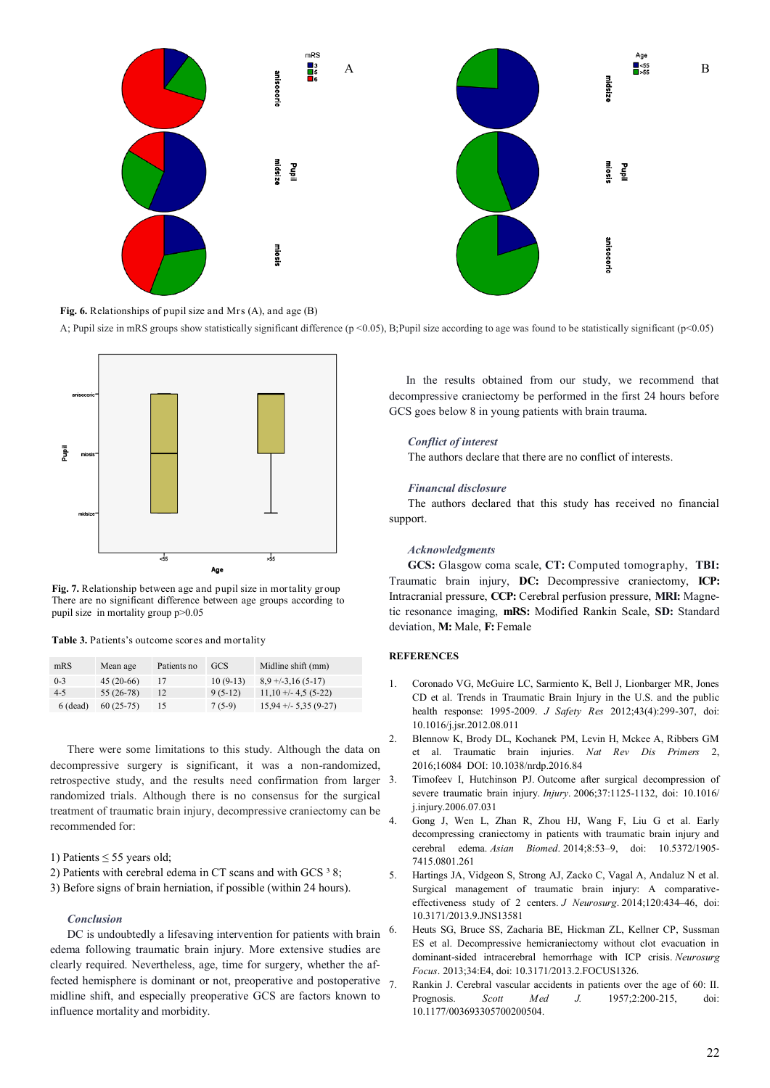

**Fig. 6.** Relationships of pupil size and Mrs (A), and age (B)

A; Pupil size in mRS groups show statistically significant difference (p <0.05), B;Pupil size according to age was found to be statistically significant (p<0.05)



**Fig. 7.** Relationship between age and pupil size in mortality group There are no significant difference between age groups according to pupil size in mortality group p>0.05

| Table 3. Patients's outcome scores and mortality |  |  |  |  |  |  |  |  |  |  |  |  |  |  |  |  |  |  |  |  |  |  |  |  |  |  |  |  |  |  |  |  |  |  |  |  |  |  |  |  |  |  |  |  |  |  |  |  |  |  |  |  |  |  |  |  |  |  |  |  |  |  |  |  |  |  |  |  |  |  |  |  |  |  |  |  |  |  |  |  |  |  |  |  |  |  |  |  |  |  |  |  |  |  |  |  |  |  |  |  |  |  |  |  |  |  |  |  |  |  |  |  |  |  |  |  |  |  |  |  |  |  |  |  |  |  |  |  |  |  |  |  |  |  |  |  |  |  |  |  |  |  |  |  |  |  |
|--------------------------------------------------|--|--|--|--|--|--|--|--|--|--|--|--|--|--|--|--|--|--|--|--|--|--|--|--|--|--|--|--|--|--|--|--|--|--|--|--|--|--|--|--|--|--|--|--|--|--|--|--|--|--|--|--|--|--|--|--|--|--|--|--|--|--|--|--|--|--|--|--|--|--|--|--|--|--|--|--|--|--|--|--|--|--|--|--|--|--|--|--|--|--|--|--|--|--|--|--|--|--|--|--|--|--|--|--|--|--|--|--|--|--|--|--|--|--|--|--|--|--|--|--|--|--|--|--|--|--|--|--|--|--|--|--|--|--|--|--|--|--|--|--|--|--|--|--|--|--|
|--------------------------------------------------|--|--|--|--|--|--|--|--|--|--|--|--|--|--|--|--|--|--|--|--|--|--|--|--|--|--|--|--|--|--|--|--|--|--|--|--|--|--|--|--|--|--|--|--|--|--|--|--|--|--|--|--|--|--|--|--|--|--|--|--|--|--|--|--|--|--|--|--|--|--|--|--|--|--|--|--|--|--|--|--|--|--|--|--|--|--|--|--|--|--|--|--|--|--|--|--|--|--|--|--|--|--|--|--|--|--|--|--|--|--|--|--|--|--|--|--|--|--|--|--|--|--|--|--|--|--|--|--|--|--|--|--|--|--|--|--|--|--|--|--|--|--|--|--|--|--|

| mRS        | Mean age    | Patients no | <b>GCS</b> | Midline shift (mm)     |
|------------|-------------|-------------|------------|------------------------|
| $0 - 3$    | $45(20-66)$ | 17          | $10(9-13)$ | $8.9 + (-3.16(5-17))$  |
| $4 - 5$    | $55(26-78)$ | 12          | $9(5-12)$  | $11,10 + -4.5(5-22)$   |
| $6$ (dead) | $60(25-75)$ | 15          | $7(5-9)$   | $15.94 + - 5.35(9-27)$ |

There were some limitations to this study. Although the data on decompressive surgery is significant, it was a non-randomized, retrospective study, and the results need confirmation from larger 3. randomized trials. Although there is no consensus for the surgical treatment of traumatic brain injury, decompressive craniectomy can be recommended for:

- 1) Patients  $\leq 55$  years old;
- 2) Patients with cerebral edema in CT scans and with GCS  $38$ ;
- 3) Before signs of brain herniation, if possible (within 24 hours).

### *Conclusion*

DC is undoubtedly a lifesaving intervention for patients with brain edema following traumatic brain injury. More extensive studies are clearly required. Nevertheless, age, time for surgery, whether the affected hemisphere is dominant or not, preoperative and postoperative midline shift, and especially preoperative GCS are factors known to influence mortality and morbidity.

In the results obtained from our study, we recommend that decompressive craniectomy be performed in the first 24 hours before GCS goes below 8 in young patients with brain trauma.

## *Conflict of interest*

The authors declare that there are no conflict of interests.

### *Financıal disclosure*

The authors declared that this study has received no financial support.

## *Acknowledgments*

**GCS:** Glasgow coma scale, **CT:** Computed tomography, **TBI:** Traumatic brain injury, **DC:** Decompressive craniectomy, **ICP:** Intracranial pressure, **CCP:** Cerebral perfusion pressure, **MRI:** Magnetic resonance imaging, **mRS:** Modified Rankin Scale, **SD:** Standard deviation, **M:** Male, **F:** Female

## **REFERENCES**

- 1. Coronado VG, McGuire LC, Sarmiento K, Bell J, Lionbarger MR, Jones CD et al. Trends in Traumatic Brain Injury in the U.S. and the public health response: 1995-2009. *J Safety Res* 2012;43(4):299-307, doi: 10.1016/j.jsr.2012.08.011
- 2. Blennow K, Brody DL, Kochanek PM, Levin H, Mckee A, Ribbers GM et al. Traumatic brain injuries. *Nat Rev Dis Primers* 2, 2016;16084 DOI: [10.1038/nrdp.2016.84](https://www.researchgate.net/deref/http%3A%2F%2Fdx.doi.org%2F10.1038%2Fnrdp.2016.84)
- Timofeev I, Hutchinson PJ. Outcome after surgical decompression of severe traumatic brain injury. *Injury*. 2006;37:1125-1132, doi: 10.1016/ j.injury.2006.07.031
- 4. Gong J, Wen L, Zhan R, Zhou HJ, Wang F, Liu G et al. Early decompressing craniectomy in patients with traumatic brain injury and cerebral edema. *Asian Biomed*. 2014;8:53–9, doi: 10.5372/1905- 7415.0801.261
- 5. Hartings JA, Vidgeon S, Strong AJ, Zacko C, Vagal A, Andaluz N et al. Surgical management of traumatic brain injury: A comparativeeffectiveness study of 2 centers. *J Neurosurg*. 2014;120:434–46, doi: 10.3171/2013.9.JNS13581
- 6. Heuts SG, Bruce SS, Zacharia BE, Hickman ZL, Kellner CP, Sussman ES et al. Decompressive hemicraniectomy without clot evacuation in dominant-sided intracerebral hemorrhage with ICP crisis. *Neurosurg Focus*. 2013;34:E4, doi: 10.3171/2013.2.FOCUS1326.
- 7. Rankin J. Cerebral vascular accidents in patients over the age of 60: II. Prognosis. *Scott Med J.* 1957;2:200-215, doi: 10.1177/003693305700200504.